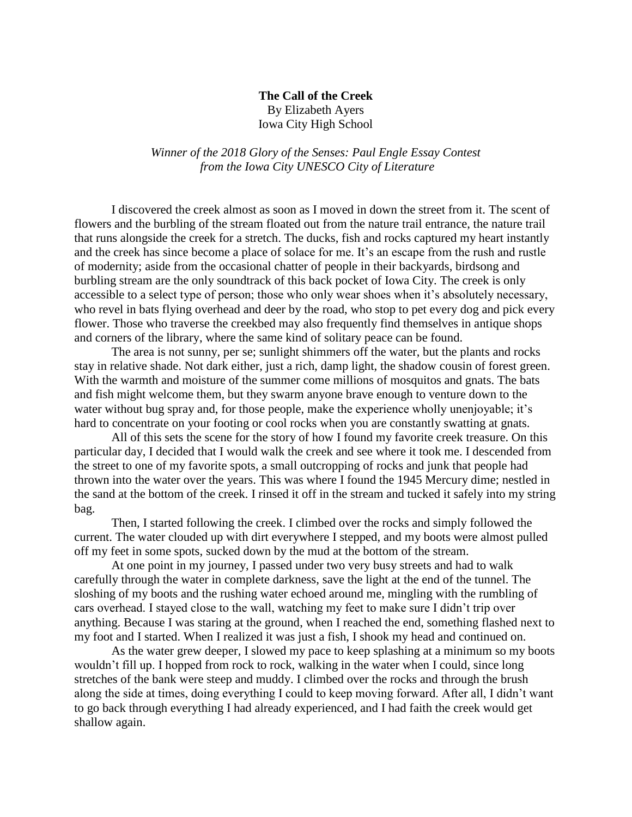## **The Call of the Creek** By Elizabeth Ayers

Iowa City High School

*Winner of the 2018 Glory of the Senses: Paul Engle Essay Contest from the Iowa City UNESCO City of Literature*

I discovered the creek almost as soon as I moved in down the street from it. The scent of flowers and the burbling of the stream floated out from the nature trail entrance, the nature trail that runs alongside the creek for a stretch. The ducks, fish and rocks captured my heart instantly and the creek has since become a place of solace for me. It's an escape from the rush and rustle of modernity; aside from the occasional chatter of people in their backyards, birdsong and burbling stream are the only soundtrack of this back pocket of Iowa City. The creek is only accessible to a select type of person; those who only wear shoes when it's absolutely necessary, who revel in bats flying overhead and deer by the road, who stop to pet every dog and pick every flower. Those who traverse the creekbed may also frequently find themselves in antique shops and corners of the library, where the same kind of solitary peace can be found.

The area is not sunny, per se; sunlight shimmers off the water, but the plants and rocks stay in relative shade. Not dark either, just a rich, damp light, the shadow cousin of forest green. With the warmth and moisture of the summer come millions of mosquitos and gnats. The bats and fish might welcome them, but they swarm anyone brave enough to venture down to the water without bug spray and, for those people, make the experience wholly unenjoyable; it's hard to concentrate on your footing or cool rocks when you are constantly swatting at gnats.

All of this sets the scene for the story of how I found my favorite creek treasure. On this particular day, I decided that I would walk the creek and see where it took me. I descended from the street to one of my favorite spots, a small outcropping of rocks and junk that people had thrown into the water over the years. This was where I found the 1945 Mercury dime; nestled in the sand at the bottom of the creek. I rinsed it off in the stream and tucked it safely into my string bag.

Then, I started following the creek. I climbed over the rocks and simply followed the current. The water clouded up with dirt everywhere I stepped, and my boots were almost pulled off my feet in some spots, sucked down by the mud at the bottom of the stream.

At one point in my journey, I passed under two very busy streets and had to walk carefully through the water in complete darkness, save the light at the end of the tunnel. The sloshing of my boots and the rushing water echoed around me, mingling with the rumbling of cars overhead. I stayed close to the wall, watching my feet to make sure I didn't trip over anything. Because I was staring at the ground, when I reached the end, something flashed next to my foot and I started. When I realized it was just a fish, I shook my head and continued on.

As the water grew deeper, I slowed my pace to keep splashing at a minimum so my boots wouldn't fill up. I hopped from rock to rock, walking in the water when I could, since long stretches of the bank were steep and muddy. I climbed over the rocks and through the brush along the side at times, doing everything I could to keep moving forward. After all, I didn't want to go back through everything I had already experienced, and I had faith the creek would get shallow again.